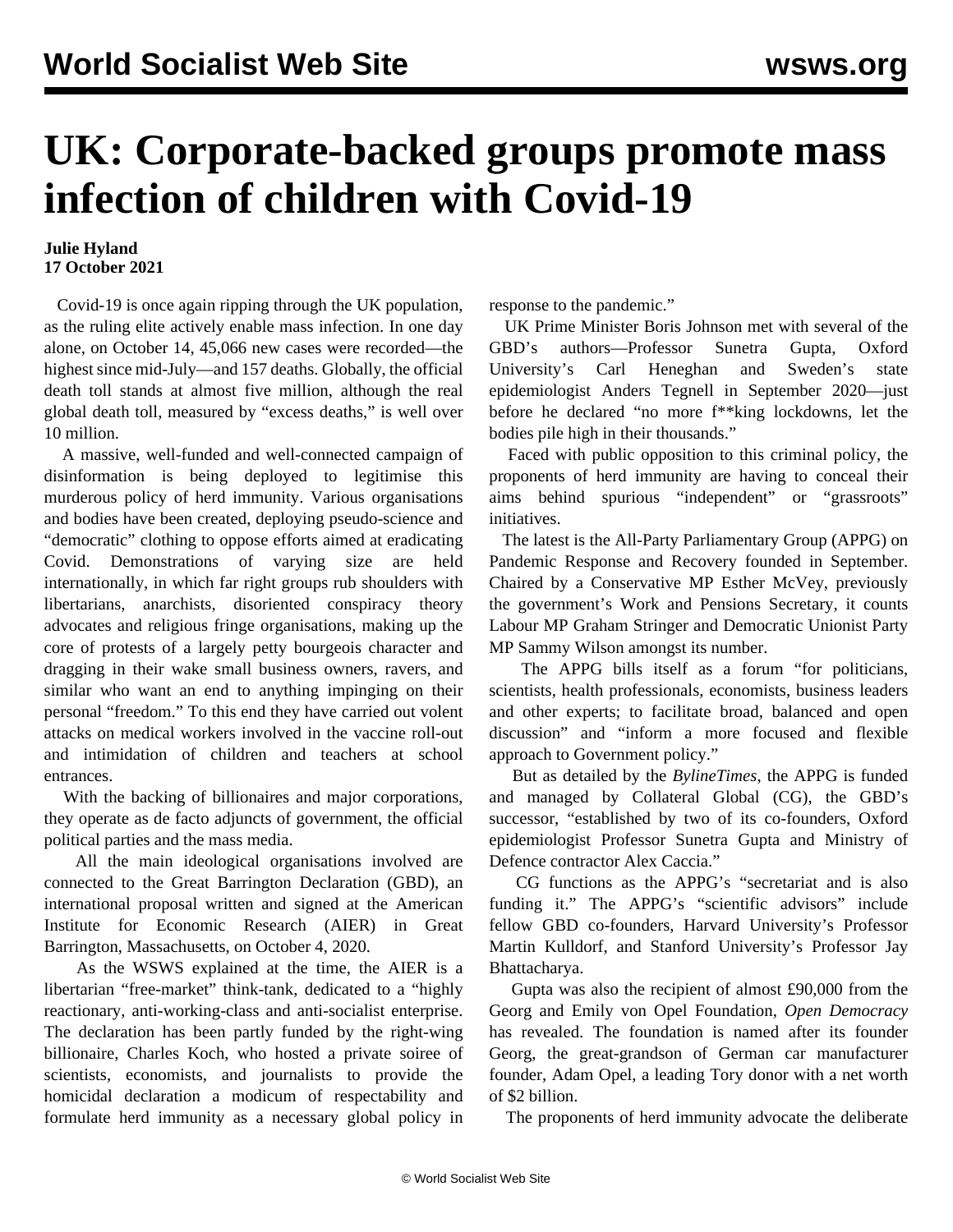## **UK: Corporate-backed groups promote mass infection of children with Covid-19**

## **Julie Hyland 17 October 2021**

 Covid-19 is once again ripping through the UK population, as the ruling elite actively enable mass infection. In one day alone, on October 14, 45,066 new cases were recorded—the highest since mid-July—and 157 deaths. Globally, the official death toll stands at almost five million, although the real global death toll, measured by "excess deaths," is well over 10 million.

 A massive, well-funded and well-connected campaign of disinformation is being deployed to legitimise this murderous policy of herd immunity. Various organisations and bodies have been created, deploying pseudo-science and "democratic" clothing to oppose efforts aimed at eradicating Covid. Demonstrations of varying size are held internationally, in which far right groups rub shoulders with libertarians, anarchists, disoriented conspiracy theory advocates and religious fringe organisations, making up the core of protests of a largely petty bourgeois character and dragging in their wake small business owners, ravers, and similar who want an end to anything impinging on their personal "freedom." To this end they have carried out volent attacks on medical workers involved in the vaccine roll-out and intimidation of children and teachers at school entrances.

 With the backing of billionaires and major corporations, they operate as de facto adjuncts of government, the official political parties and the mass media.

 All the main ideological organisations involved are connected to the Great Barrington Declaration (GBD), an international proposal written and signed at the American Institute for Economic Research (AIER) in Great Barrington, Massachusetts, on October 4, 2020.

 As the WSWS [explained](/en/articles/2020/10/14/revi-014-o14.html) at the time, the AIER is a libertarian "free-market" think-tank, dedicated to a "highly reactionary, anti-working-class and anti-socialist enterprise. The declaration has been partly funded by the right-wing billionaire, Charles Koch, who hosted a private soiree of scientists, economists, and journalists to provide the homicidal declaration a modicum of respectability and formulate herd immunity as a necessary global policy in response to the pandemic."

 UK Prime Minister Boris Johnson met with several of the GBD's authors—Professor Sunetra Gupta, Oxford University's Carl Heneghan and Sweden's state epidemiologist Anders Tegnell in September 2020—just before he declared "no more f\*\*king lockdowns, let the bodies pile high in their thousands."

 Faced with public opposition to this criminal policy, the proponents of herd immunity are having to conceal their aims behind spurious "independent" or "grassroots" initiatives.

 The latest is the All-Party Parliamentary Group (APPG) on Pandemic Response and Recovery founded in September. Chaired by a Conservative MP Esther McVey, previously the government's Work and Pensions Secretary, it counts Labour MP Graham Stringer and Democratic Unionist Party MP Sammy Wilson amongst its number.

 The APPG bills itself as a forum "for politicians, scientists, health professionals, economists, business leaders and other experts; to facilitate broad, balanced and open discussion" and "inform a more focused and flexible approach to Government policy."

 But as detailed by the *BylineTimes*, the APPG is funded and managed by Collateral Global (CG), the GBD's successor, "established by two of its co-founders, Oxford epidemiologist Professor Sunetra Gupta and Ministry of Defence contractor Alex Caccia."

 CG functions as the APPG's "secretariat and is also funding it." The APPG's "scientific advisors" include fellow GBD co-founders, Harvard University's Professor Martin Kulldorf, and Stanford University's Professor Jay Bhattacharya.

 Gupta was also the recipient of almost £90,000 from the Georg and Emily von Opel Foundation, *Open Democracy* has revealed. The foundation is named after its founder Georg, the great-grandson of German car manufacturer founder, Adam Opel, a leading Tory donor with a net worth of \$2 billion.

The proponents of herd immunity advocate the deliberate